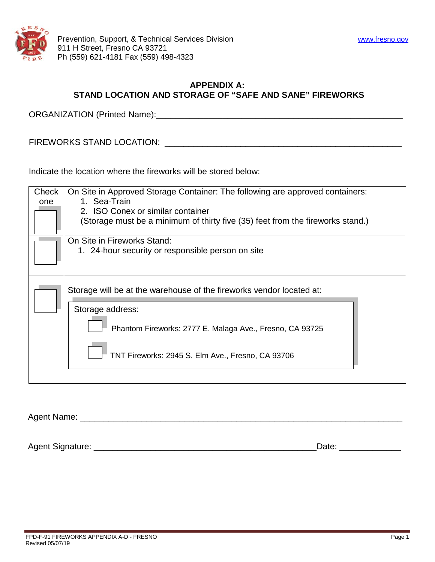

# **APPENDIX A: STAND LOCATION AND STORAGE OF "SAFE AND SANE" FIREWORKS**

ORGANIZATION (Printed Name):\_\_\_\_\_\_\_\_\_\_\_\_\_\_\_\_\_\_\_\_\_\_\_\_\_\_\_\_\_\_\_\_\_\_\_\_\_\_\_\_\_\_\_\_\_\_\_\_\_\_\_\_

FIREWORKS STAND LOCATION: \_\_\_\_\_\_\_\_\_\_\_\_\_\_\_\_\_\_\_\_\_\_\_\_\_\_\_\_\_\_\_\_\_\_\_\_\_\_\_\_\_\_\_\_\_\_\_\_\_\_

Indicate the location where the fireworks will be stored below:

| Check<br>one | On Site in Approved Storage Container: The following are approved containers:<br>1. Sea-Train<br>2. ISO Conex or similar container |  |
|--------------|------------------------------------------------------------------------------------------------------------------------------------|--|
|              |                                                                                                                                    |  |
|              | (Storage must be a minimum of thirty five (35) feet from the fireworks stand.)                                                     |  |
|              | On Site in Fireworks Stand:                                                                                                        |  |
|              | 1. 24-hour security or responsible person on site                                                                                  |  |
|              |                                                                                                                                    |  |
|              | Storage will be at the warehouse of the fireworks vendor located at:                                                               |  |
|              | Storage address:                                                                                                                   |  |
|              | Phantom Fireworks: 2777 E. Malaga Ave., Fresno, CA 93725                                                                           |  |
|              | TNT Fireworks: 2945 S. Elm Ave., Fresno, CA 93706                                                                                  |  |
|              |                                                                                                                                    |  |

Agent Name: \_\_\_\_\_\_\_\_\_\_\_\_\_\_\_\_\_\_\_\_\_\_\_\_\_\_\_\_\_\_\_\_\_\_\_\_\_\_\_\_\_\_\_\_\_\_\_\_\_\_\_\_\_\_\_\_\_\_\_\_\_\_\_\_\_\_\_\_

Agent Signature: \_\_\_\_\_\_\_\_\_\_\_\_\_\_\_\_\_\_\_\_\_\_\_\_\_\_\_\_\_\_\_\_\_\_\_\_\_\_\_\_\_\_\_\_\_\_\_Date: \_\_\_\_\_\_\_\_\_\_\_\_\_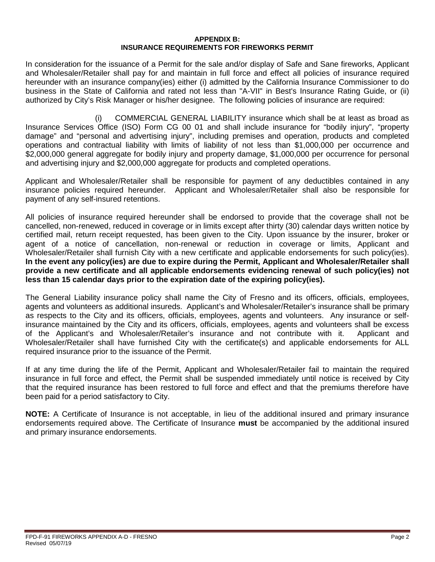#### **APPENDIX B: INSURANCE REQUIREMENTS FOR FIREWORKS PERMIT**

In consideration for the issuance of a Permit for the sale and/or display of Safe and Sane fireworks, Applicant and Wholesaler/Retailer shall pay for and maintain in full force and effect all policies of insurance required hereunder with an insurance company(ies) either (i) admitted by the California Insurance Commissioner to do business in the State of California and rated not less than "A-VII" in Best's Insurance Rating Guide, or (ii) authorized by City's Risk Manager or his/her designee. The following policies of insurance are required:

 (i) COMMERCIAL GENERAL LIABILITY insurance which shall be at least as broad as Insurance Services Office (ISO) Form CG 00 01 and shall include insurance for "bodily injury", "property damage" and "personal and advertising injury", including premises and operation, products and completed operations and contractual liability with limits of liability of not less than \$1,000,000 per occurrence and \$2,000,000 general aggregate for bodily injury and property damage, \$1,000,000 per occurrence for personal and advertising injury and \$2,000,000 aggregate for products and completed operations.

Applicant and Wholesaler/Retailer shall be responsible for payment of any deductibles contained in any insurance policies required hereunder. Applicant and Wholesaler/Retailer shall also be responsible for payment of any self-insured retentions.

All policies of insurance required hereunder shall be endorsed to provide that the coverage shall not be cancelled, non-renewed, reduced in coverage or in limits except after thirty (30) calendar days written notice by certified mail, return receipt requested, has been given to the City. Upon issuance by the insurer, broker or agent of a notice of cancellation, non-renewal or reduction in coverage or limits, Applicant and Wholesaler/Retailer shall furnish City with a new certificate and applicable endorsements for such policy(ies). **In the event any policy(ies) are due to expire during the Permit, Applicant and Wholesaler/Retailer shall provide a new certificate and all applicable endorsements evidencing renewal of such policy(ies) not less than 15 calendar days prior to the expiration date of the expiring policy(ies).**

The General Liability insurance policy shall name the City of Fresno and its officers, officials, employees, agents and volunteers as additional insureds. Applicant's and Wholesaler/Retailer's insurance shall be primary as respects to the City and its officers, officials, employees, agents and volunteers. Any insurance or selfinsurance maintained by the City and its officers, officials, employees, agents and volunteers shall be excess of the Applicant's and Wholesaler/Retailer's insurance and not contribute with it. Applicant and Wholesaler/Retailer shall have furnished City with the certificate(s) and applicable endorsements for ALL required insurance prior to the issuance of the Permit.

If at any time during the life of the Permit, Applicant and Wholesaler/Retailer fail to maintain the required insurance in full force and effect, the Permit shall be suspended immediately until notice is received by City that the required insurance has been restored to full force and effect and that the premiums therefore have been paid for a period satisfactory to City.

**NOTE:** A Certificate of Insurance is not acceptable, in lieu of the additional insured and primary insurance endorsements required above. The Certificate of Insurance **must** be accompanied by the additional insured and primary insurance endorsements.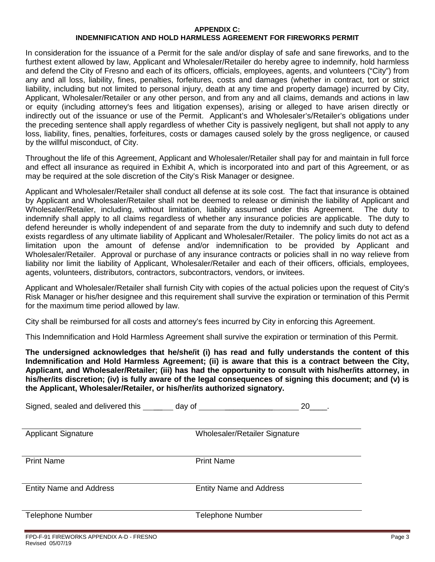#### **APPENDIX C:**

### **INDEMNIFICATION AND HOLD HARMLESS AGREEMENT FOR FIREWORKS PERMIT**

In consideration for the issuance of a Permit for the sale and/or display of safe and sane fireworks, and to the furthest extent allowed by law, Applicant and Wholesaler/Retailer do hereby agree to indemnify, hold harmless and defend the City of Fresno and each of its officers, officials, employees, agents, and volunteers ("City") from any and all loss, liability, fines, penalties, forfeitures, costs and damages (whether in contract, tort or strict liability, including but not limited to personal injury, death at any time and property damage) incurred by City, Applicant, Wholesaler/Retailer or any other person, and from any and all claims, demands and actions in law or equity (including attorney's fees and litigation expenses), arising or alleged to have arisen directly or indirectly out of the issuance or use of the Permit. Applicant's and Wholesaler's/Retailer's obligations under the preceding sentence shall apply regardless of whether City is passively negligent, but shall not apply to any loss, liability, fines, penalties, forfeitures, costs or damages caused solely by the gross negligence, or caused by the willful misconduct, of City.

Throughout the life of this Agreement, Applicant and Wholesaler/Retailer shall pay for and maintain in full force and effect all insurance as required in Exhibit A, which is incorporated into and part of this Agreement, or as may be required at the sole discretion of the City's Risk Manager or designee.

Applicant and Wholesaler/Retailer shall conduct all defense at its sole cost. The fact that insurance is obtained by Applicant and Wholesaler/Retailer shall not be deemed to release or diminish the liability of Applicant and Wholesaler/Retailer, including, without limitation, liability assumed under this Agreement. The duty to indemnify shall apply to all claims regardless of whether any insurance policies are applicable. The duty to defend hereunder is wholly independent of and separate from the duty to indemnify and such duty to defend exists regardless of any ultimate liability of Applicant and Wholesaler/Retailer. The policy limits do not act as a limitation upon the amount of defense and/or indemnification to be provided by Applicant and Wholesaler/Retailer. Approval or purchase of any insurance contracts or policies shall in no way relieve from liability nor limit the liability of Applicant, Wholesaler/Retailer and each of their officers, officials, employees, agents, volunteers, distributors, contractors, subcontractors, vendors, or invitees.

Applicant and Wholesaler/Retailer shall furnish City with copies of the actual policies upon the request of City's Risk Manager or his/her designee and this requirement shall survive the expiration or termination of this Permit for the maximum time period allowed by law.

City shall be reimbursed for all costs and attorney's fees incurred by City in enforcing this Agreement.

This Indemnification and Hold Harmless Agreement shall survive the expiration or termination of this Permit.

**The undersigned acknowledges that he/she/it (i) has read and fully understands the content of this Indemnification and Hold Harmless Agreement; (ii) is aware that this is a contract between the City, Applicant, and Wholesaler/Retailer; (iii) has had the opportunity to consult with his/her/its attorney, in his/her/its discretion; (iv) is fully aware of the legal consequences of signing this document; and (v) is the Applicant, Wholesaler/Retailer, or his/her/its authorized signatory.** 

| Signed, sealed and delivered this | day of<br>20                   |
|-----------------------------------|--------------------------------|
| <b>Applicant Signature</b>        | Wholesaler/Retailer Signature  |
| <b>Print Name</b>                 | <b>Print Name</b>              |
| <b>Entity Name and Address</b>    | <b>Entity Name and Address</b> |
| <b>Telephone Number</b>           | <b>Telephone Number</b>        |